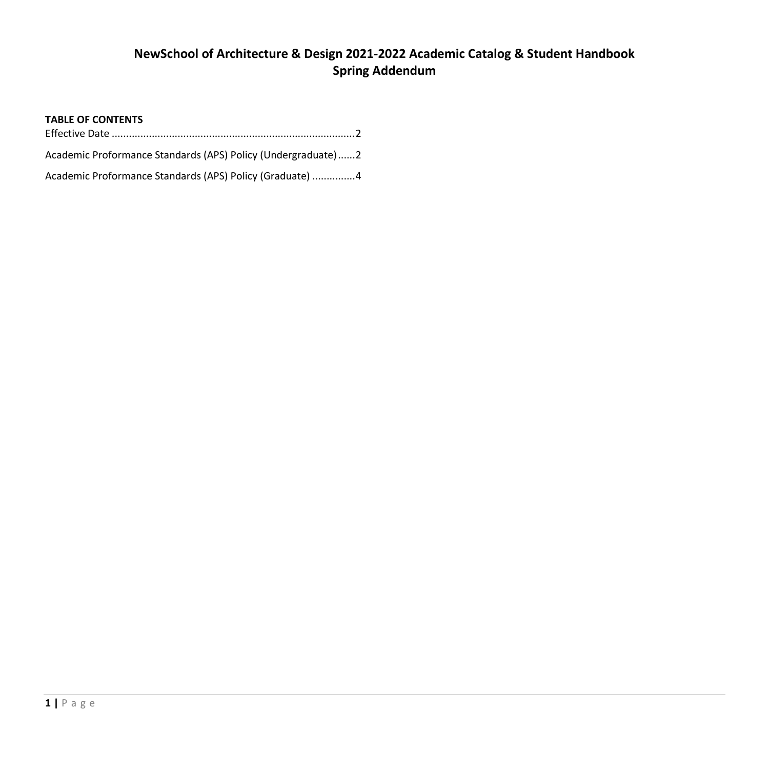# **NewSchool of Architecture & Design 2021-2022 Academic Catalog & Student Handbook Spring Addendum**

## **TABLE OF CONTENTS**

| Academic Proformance Standards (APS) Policy (Undergraduate)2 |  |
|--------------------------------------------------------------|--|
| Academic Proformance Standards (APS) Policy (Graduate) 4     |  |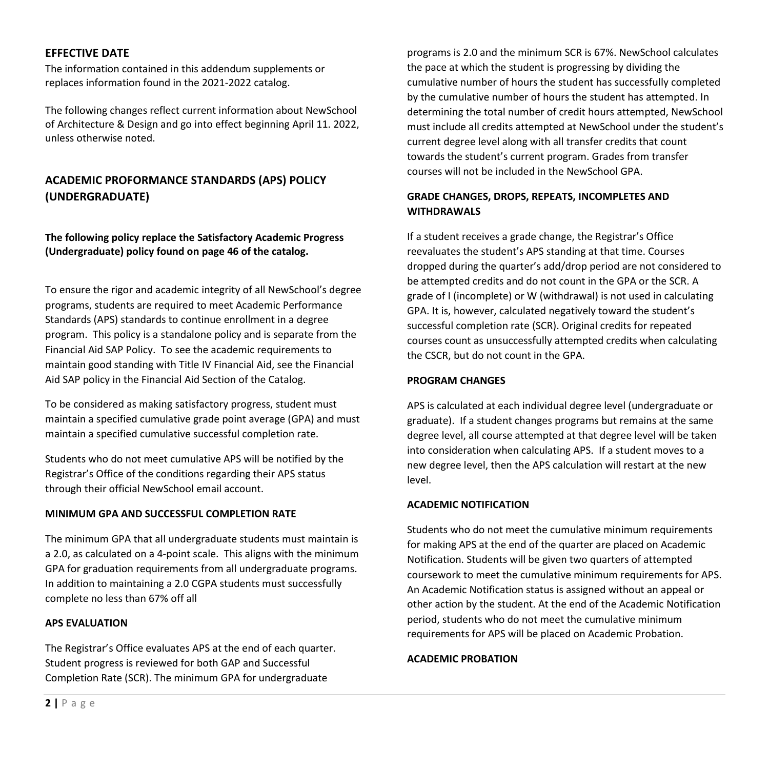## <span id="page-1-0"></span>**EFFECTIVE DATE**

The information contained in this addendum supplements or replaces information found in the 2021-2022 catalog.

The following changes reflect current information about NewSchool of Architecture & Design and go into effect beginning April 11. 2022, unless otherwise noted.

## <span id="page-1-1"></span>**ACADEMIC PROFORMANCE STANDARDS (APS) POLICY (UNDERGRADUATE)**

**The following policy replace the Satisfactory Academic Progress (Undergraduate) policy found on page 46 of the catalog.**

To ensure the rigor and academic integrity of all NewSchool's degree programs, students are required to meet Academic Performance Standards (APS) standards to continue enrollment in a degree program. This policy is a standalone policy and is separate from the Financial Aid SAP Policy. To see the academic requirements to maintain good standing with Title IV Financial Aid, see the Financial Aid SAP policy in the Financial Aid Section of the Catalog.

To be considered as making satisfactory progress, student must maintain a specified cumulative grade point average (GPA) and must maintain a specified cumulative successful completion rate.

Students who do not meet cumulative APS will be notified by the Registrar's Office of the conditions regarding their APS status through their official NewSchool email account.

## **MINIMUM GPA AND SUCCESSFUL COMPLETION RATE**

The minimum GPA that all undergraduate students must maintain is a 2.0, as calculated on a 4-point scale. This aligns with the minimum GPA for graduation requirements from all undergraduate programs. In addition to maintaining a 2.0 CGPA students must successfully complete no less than 67% off all

#### **APS EVALUATION**

The Registrar's Office evaluates APS at the end of each quarter. Student progress is reviewed for both GAP and Successful Completion Rate (SCR). The minimum GPA for undergraduate

programs is 2.0 and the minimum SCR is 67%. NewSchool calculates the pace at which the student is progressing by dividing the cumulative number of hours the student has successfully completed by the cumulative number of hours the student has attempted. In determining the total number of credit hours attempted, NewSchool must include all credits attempted at NewSchool under the student's current degree level along with all transfer credits that count towards the student's current program. Grades from transfer courses will not be included in the NewSchool GPA.

## **GRADE CHANGES, DROPS, REPEATS, INCOMPLETES AND WITHDRAWALS**

If a student receives a grade change, the Registrar's Office reevaluates the student's APS standing at that time. Courses dropped during the quarter's add/drop period are not considered to be attempted credits and do not count in the GPA or the SCR. A grade of I (incomplete) or W (withdrawal) is not used in calculating GPA. It is, however, calculated negatively toward the student's successful completion rate (SCR). Original credits for repeated courses count as unsuccessfully attempted credits when calculating the CSCR, but do not count in the GPA.

#### **PROGRAM CHANGES**

APS is calculated at each individual degree level (undergraduate or graduate). If a student changes programs but remains at the same degree level, all course attempted at that degree level will be taken into consideration when calculating APS. If a student moves to a new degree level, then the APS calculation will restart at the new level.

## **ACADEMIC NOTIFICATION**

Students who do not meet the cumulative minimum requirements for making APS at the end of the quarter are placed on Academic Notification. Students will be given two quarters of attempted coursework to meet the cumulative minimum requirements for APS. An Academic Notification status is assigned without an appeal or other action by the student. At the end of the Academic Notification period, students who do not meet the cumulative minimum requirements for APS will be placed on Academic Probation.

**ACADEMIC PROBATION**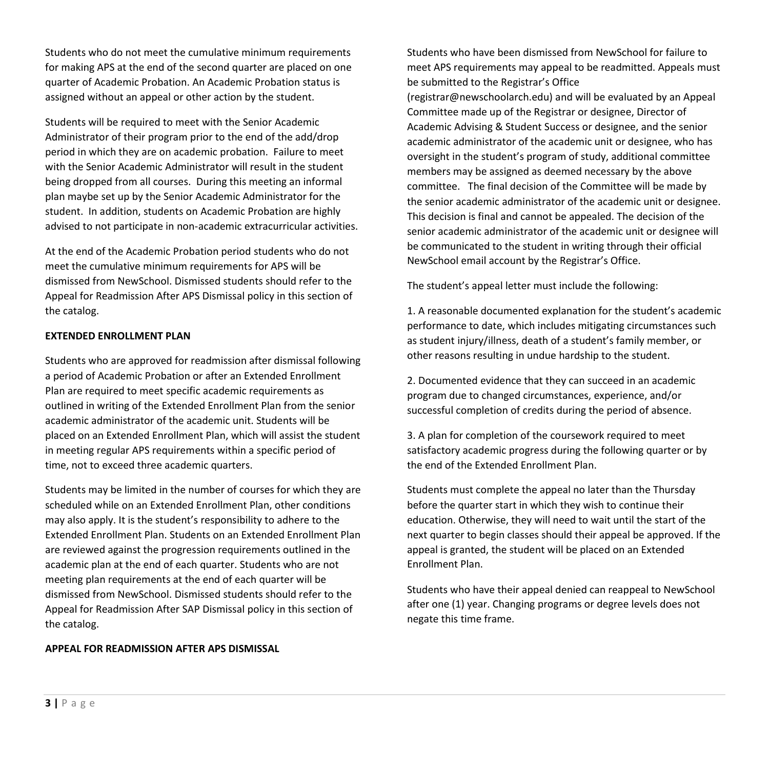Students who do not meet the cumulative minimum requirements for making APS at the end of the second quarter are placed on one quarter of Academic Probation. An Academic Probation status is assigned without an appeal or other action by the student.

Students will be required to meet with the Senior Academic Administrator of their program prior to the end of the add/drop period in which they are on academic probation. Failure to meet with the Senior Academic Administrator will result in the student being dropped from all courses. During this meeting an informal plan maybe set up by the Senior Academic Administrator for the student. In addition, students on Academic Probation are highly advised to not participate in non-academic extracurricular activities.

At the end of the Academic Probation period students who do not meet the cumulative minimum requirements for APS will be dismissed from NewSchool. Dismissed students should refer to the Appeal for Readmission After APS Dismissal policy in this section of the catalog.

## **EXTENDED ENROLLMENT PLAN**

Students who are approved for readmission after dismissal following a period of Academic Probation or after an Extended Enrollment Plan are required to meet specific academic requirements as outlined in writing of the Extended Enrollment Plan from the senior academic administrator of the academic unit. Students will be placed on an Extended Enrollment Plan, which will assist the student in meeting regular APS requirements within a specific period of time, not to exceed three academic quarters.

Students may be limited in the number of courses for which they are scheduled while on an Extended Enrollment Plan, other conditions may also apply. It is the student's responsibility to adhere to the Extended Enrollment Plan. Students on an Extended Enrollment Plan are reviewed against the progression requirements outlined in the academic plan at the end of each quarter. Students who are not meeting plan requirements at the end of each quarter will be dismissed from NewSchool. Dismissed students should refer to the Appeal for Readmission After SAP Dismissal policy in this section of the catalog.

#### **APPEAL FOR READMISSION AFTER APS DISMISSAL**

Students who have been dismissed from NewSchool for failure to meet APS requirements may appeal to be readmitted. Appeals must be submitted to the Registrar's Office

(registrar@newschoolarch.edu) and will be evaluated by an Appeal Committee made up of the Registrar or designee, Director of Academic Advising & Student Success or designee, and the senior academic administrator of the academic unit or designee, who has oversight in the student's program of study, additional committee members may be assigned as deemed necessary by the above committee. The final decision of the Committee will be made by the senior academic administrator of the academic unit or designee. This decision is final and cannot be appealed. The decision of the senior academic administrator of the academic unit or designee will be communicated to the student in writing through their official NewSchool email account by the Registrar's Office.

The student's appeal letter must include the following:

1. A reasonable documented explanation for the student's academic performance to date, which includes mitigating circumstances such as student injury/illness, death of a student's family member, or other reasons resulting in undue hardship to the student.

2. Documented evidence that they can succeed in an academic program due to changed circumstances, experience, and/or successful completion of credits during the period of absence.

3. A plan for completion of the coursework required to meet satisfactory academic progress during the following quarter or by the end of the Extended Enrollment Plan.

Students must complete the appeal no later than the Thursday before the quarter start in which they wish to continue their education. Otherwise, they will need to wait until the start of the next quarter to begin classes should their appeal be approved. If the appeal is granted, the student will be placed on an Extended Enrollment Plan.

Students who have their appeal denied can reappeal to NewSchool after one (1) year. Changing programs or degree levels does not negate this time frame.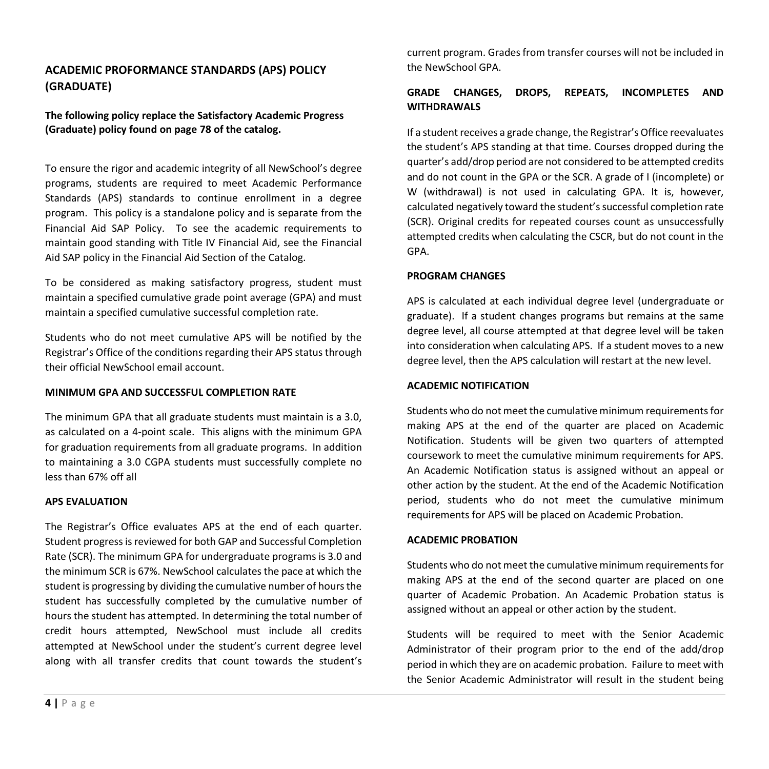## <span id="page-3-0"></span>**ACADEMIC PROFORMANCE STANDARDS (APS) POLICY (GRADUATE)**

**The following policy replace the Satisfactory Academic Progress (Graduate) policy found on page 78 of the catalog.**

To ensure the rigor and academic integrity of all NewSchool's degree programs, students are required to meet Academic Performance Standards (APS) standards to continue enrollment in a degree program. This policy is a standalone policy and is separate from the Financial Aid SAP Policy. To see the academic requirements to maintain good standing with Title IV Financial Aid, see the Financial Aid SAP policy in the Financial Aid Section of the Catalog.

To be considered as making satisfactory progress, student must maintain a specified cumulative grade point average (GPA) and must maintain a specified cumulative successful completion rate.

Students who do not meet cumulative APS will be notified by the Registrar's Office of the conditions regarding their APS status through their official NewSchool email account.

## **MINIMUM GPA AND SUCCESSFUL COMPLETION RATE**

The minimum GPA that all graduate students must maintain is a 3.0, as calculated on a 4-point scale. This aligns with the minimum GPA for graduation requirements from all graduate programs. In addition to maintaining a 3.0 CGPA students must successfully complete no less than 67% off all

#### **APS EVALUATION**

The Registrar's Office evaluates APS at the end of each quarter. Student progress is reviewed for both GAP and Successful Completion Rate (SCR). The minimum GPA for undergraduate programs is 3.0 and the minimum SCR is 67%. NewSchool calculates the pace at which the student is progressing by dividing the cumulative number of hours the student has successfully completed by the cumulative number of hours the student has attempted. In determining the total number of credit hours attempted, NewSchool must include all credits attempted at NewSchool under the student's current degree level along with all transfer credits that count towards the student's

current program. Grades from transfer courses will not be included in the NewSchool GPA.

## **GRADE CHANGES, DROPS, REPEATS, INCOMPLETES AND WITHDRAWALS**

If a student receives a grade change, the Registrar's Office reevaluates the student's APS standing at that time. Courses dropped during the quarter's add/drop period are not considered to be attempted credits and do not count in the GPA or the SCR. A grade of I (incomplete) or W (withdrawal) is not used in calculating GPA. It is, however, calculated negatively toward the student's successful completion rate (SCR). Original credits for repeated courses count as unsuccessfully attempted credits when calculating the CSCR, but do not count in the GPA.

## **PROGRAM CHANGES**

APS is calculated at each individual degree level (undergraduate or graduate). If a student changes programs but remains at the same degree level, all course attempted at that degree level will be taken into consideration when calculating APS. If a student moves to a new degree level, then the APS calculation will restart at the new level.

## **ACADEMIC NOTIFICATION**

Students who do not meet the cumulative minimum requirements for making APS at the end of the quarter are placed on Academic Notification. Students will be given two quarters of attempted coursework to meet the cumulative minimum requirements for APS. An Academic Notification status is assigned without an appeal or other action by the student. At the end of the Academic Notification period, students who do not meet the cumulative minimum requirements for APS will be placed on Academic Probation.

## **ACADEMIC PROBATION**

Students who do not meet the cumulative minimum requirements for making APS at the end of the second quarter are placed on one quarter of Academic Probation. An Academic Probation status is assigned without an appeal or other action by the student.

Students will be required to meet with the Senior Academic Administrator of their program prior to the end of the add/drop period in which they are on academic probation. Failure to meet with the Senior Academic Administrator will result in the student being